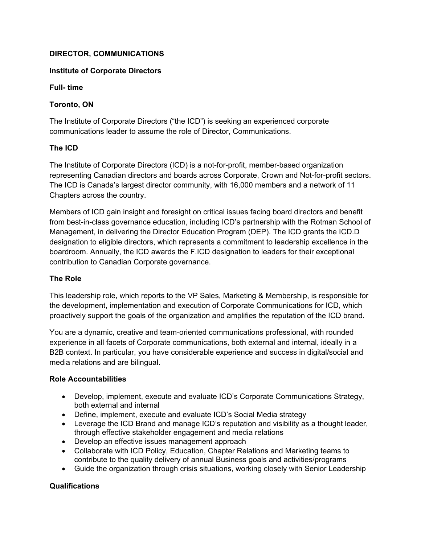# **DIRECTOR, COMMUNICATIONS**

### **Institute of Corporate Directors**

**Full- time** 

## **Toronto, ON**

The Institute of Corporate Directors ("the ICD") is seeking an experienced corporate communications leader to assume the role of Director, Communications.

## **The ICD**

The Institute of Corporate Directors (ICD) is a not-for-profit, member-based organization representing Canadian directors and boards across Corporate, Crown and Not-for-profit sectors. The ICD is Canada's largest director community, with 16,000 members and a network of 11 Chapters across the country.

Members of ICD gain insight and foresight on critical issues facing board directors and benefit from best-in-class governance education, including ICD's partnership with the Rotman School of Management, in delivering the Director Education Program (DEP). The ICD grants the ICD.D designation to eligible directors, which represents a commitment to leadership excellence in the boardroom. Annually, the ICD awards the F.ICD designation to leaders for their exceptional contribution to Canadian Corporate governance.

#### **The Role**

This leadership role, which reports to the VP Sales, Marketing & Membership, is responsible for the development, implementation and execution of Corporate Communications for ICD, which proactively support the goals of the organization and amplifies the reputation of the ICD brand.

You are a dynamic, creative and team-oriented communications professional, with rounded experience in all facets of Corporate communications, both external and internal, ideally in a B2B context. In particular, you have considerable experience and success in digital/social and media relations and are bilingual.

#### **Role Accountabilities**

- Develop, implement, execute and evaluate ICD's Corporate Communications Strategy, both external and internal
- Define, implement, execute and evaluate ICD's Social Media strategy
- Leverage the ICD Brand and manage ICD's reputation and visibility as a thought leader, through effective stakeholder engagement and media relations
- Develop an effective issues management approach
- Collaborate with ICD Policy, Education, Chapter Relations and Marketing teams to contribute to the quality delivery of annual Business goals and activities/programs
- Guide the organization through crisis situations, working closely with Senior Leadership

# **Qualifications**